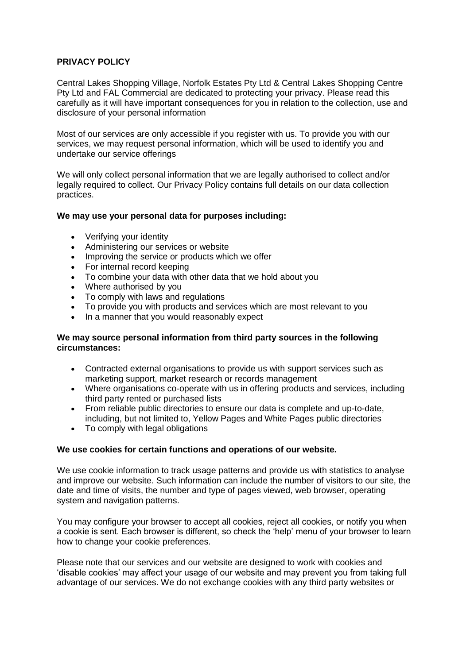## **PRIVACY POLICY**

Central Lakes Shopping Village, Norfolk Estates Pty Ltd & Central Lakes Shopping Centre Pty Ltd and FAL Commercial are dedicated to protecting your privacy. Please read this carefully as it will have important consequences for you in relation to the collection, use and disclosure of your personal information

Most of our services are only accessible if you register with us. To provide you with our services, we may request personal information, which will be used to identify you and undertake our service offerings

We will only collect personal information that we are legally authorised to collect and/or legally required to collect. Our Privacy Policy contains full details on our data collection practices.

#### **We may use your personal data for purposes including:**

- Verifying your identity
- Administering our services or website
- Improving the service or products which we offer
- For internal record keeping
- To combine your data with other data that we hold about you
- Where authorised by you
- To comply with laws and regulations
- To provide you with products and services which are most relevant to you
- In a manner that you would reasonably expect

#### **We may source personal information from third party sources in the following circumstances:**

- Contracted external organisations to provide us with support services such as marketing support, market research or records management
- Where organisations co-operate with us in offering products and services, including third party rented or purchased lists
- From reliable public directories to ensure our data is complete and up-to-date, including, but not limited to, Yellow Pages and White Pages public directories
- To comply with legal obligations

## **We use cookies for certain functions and operations of our website.**

We use cookie information to track usage patterns and provide us with statistics to analyse and improve our website. Such information can include the number of visitors to our site, the date and time of visits, the number and type of pages viewed, web browser, operating system and navigation patterns.

You may configure your browser to accept all cookies, reject all cookies, or notify you when a cookie is sent. Each browser is different, so check the 'help' menu of your browser to learn how to change your cookie preferences.

Please note that our services and our website are designed to work with cookies and 'disable cookies' may affect your usage of our website and may prevent you from taking full advantage of our services. We do not exchange cookies with any third party websites or